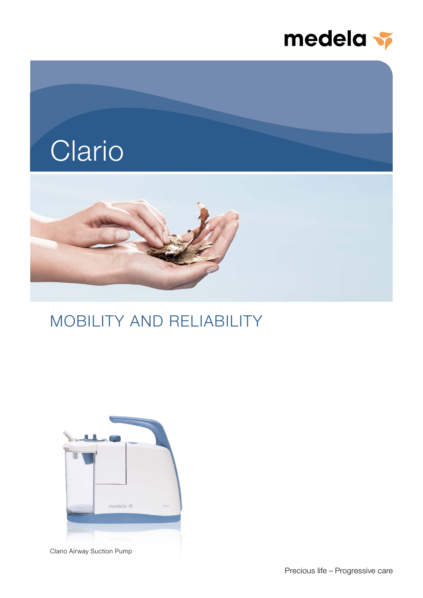



## MOBILITY AND RELIABILITY



Clario Airway Suction Pump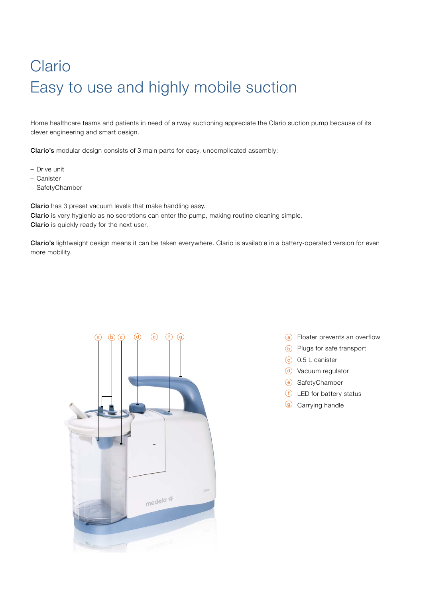# Clario Easy to use and highly mobile suction

Home healthcare teams and patients in need of airway suctioning appreciate the Clario suction pump because of its clever engineering and smart design.

Clario's modular design consists of 3 main parts for easy, uncomplicated assembly:

- Drive unit
- Canister
- SafetyChamber

Clario has 3 preset vacuum levels that make handling easy. Clario is very hygienic as no secretions can enter the pump, making routine cleaning simple. Clario is quickly ready for the next user.

Clario's lightweight design means it can be taken everywhere. Clario is available in a battery-operated version for even more mobility.



- $\alpha$  Floater prevents an overflow
- b Plugs for safe transport
- $(c)$  0.5 L canister
- d Vacuum regulator
- e SafetyChamber
- $f$  LED for battery status
- <sup>g</sup> Carrying handle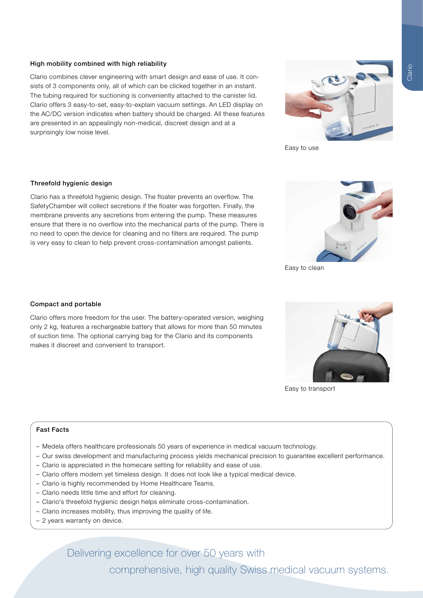#### High mobility combined with high reliability

Clario combines clever engineering with smart design and ease of use. It consists of 3 components only, all of which can be clicked together in an instant. The tubing required for suctioning is conveniently attached to the canister lid. Clario offers 3 easy-to-set, easy-to-explain vacuum settings. An LED display on the AC/DC version indicates when battery should be charged. All these features are presented in an appealingly non-medical, discreet design and at a surprisingly low noise level.



Clario has a threefold hygienic design. The floater prevents an overflow. The SafetyChamber will collect secretions if the floater was forgotten. Finally, the membrane prevents any secretions from entering the pump. These measures ensure that there is no overflow into the mechanical parts of the pump. There is no need to open the device for cleaning and no filters are required. The pump is very easy to clean to help prevent cross-contamination amongst patients.

#### Compact and portable

Clario offers more freedom for the user. The battery-operated version, weighing only 2 kg, features a rechargeable battery that allows for more than 50 minutes of suction time. The optional carrying bag for the Clario and its components makes it discreet and convenient to transport.

#### Fast Facts

- Medela offers healthcare professionals 50 years of experience in medical vacuum technology.
- Our swiss development and manufacturing process yields mechanical precision to guarantee excellent performance.
- Clario is appreciated in the homecare setting for reliability and ease of use.
- Clario offers modern yet timeless design. It does not look like a typical medical device.
- Clario is highly recommended by Home Healthcare Teams.
- Clario needs little time and effort for cleaning.
- Clario's threefold hygienic design helps eliminate cross-contamination.
- Clario increases mobility, thus improving the quality of life.
- 2 years warranty on device.

Delivering excellence for over 50 years with

comprehensive, high quality Swiss medical vacuum systems.

Easy to clean

Easy to use



Easy to transport

Clario